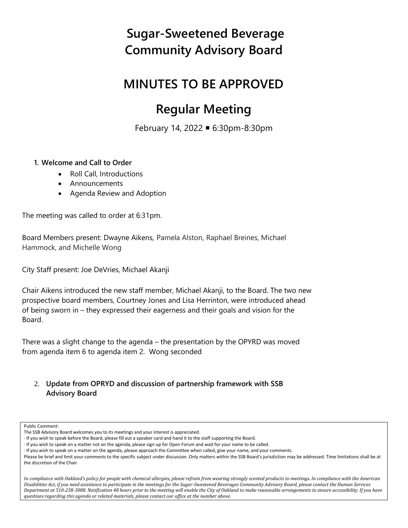### **MINUTES TO BE APPROVED**

### **Regular Meeting**

February 14, 2022 6:30pm-8:30pm

#### **1. Welcome and Call to Order**

- Roll Call, Introductions
- Announcements
- Agenda Review and Adoption

The meeting was called to order at 6:31pm.

Board Members present: Dwayne Aikens, Pamela Alston, Raphael Breines, Michael Hammock, and Michelle Wong

City Staff present: Joe DeVries, Michael Akanji

Chair Aikens introduced the new staff member, Michael Akanji, to the Board. The two new prospective board members, Courtney Jones and Lisa Herrinton, were introduced ahead of being sworn in – they expressed their eagerness and their goals and vision for the Board.

There was a slight change to the agenda – the presentation by the OPYRD was moved from agenda item 6 to agenda item 2. Wong seconded

2. **Update from OPRYD and discussion of partnership framework with SSB Advisory Board**

#### Public Comment:

*In compliance with Oakland's policy for people with chemical allergies, please refrain from wearing strongly scented products to meetings. In compliance with the American Disabilities Act, if you need assistance to participate in the meetings for the Sugar-Sweetened Beverages Community Advisory Board, please contact the Human Services Department at 510-238-3088. Notification 48 hours prior to the meeting will enable the City of Oakland to make reasonable arrangements to ensure accessibility. If you have questions regarding this agenda or related materials, please contact our office at the number above.*

The SSB Advisory Board welcomes you to its meetings and your interest is appreciated.

<sup>·</sup> If you wish to speak before the Board, please fill out a speaker card and hand it to the staff supporting the Board.

<sup>·</sup> If you wish to speak on a matter not on the agenda, please sign up for Open Forum and wait for your name to be called.

<sup>·</sup> If you wish to speak on a matter on the agenda, please approach the Committee when called, give your name, and your comments.

Please be brief and limit your comments to the specific subject under discussion. Only matters within the SSB Board's jurisdiction may be addressed. Time limitations shall be at the discretion of the Chair.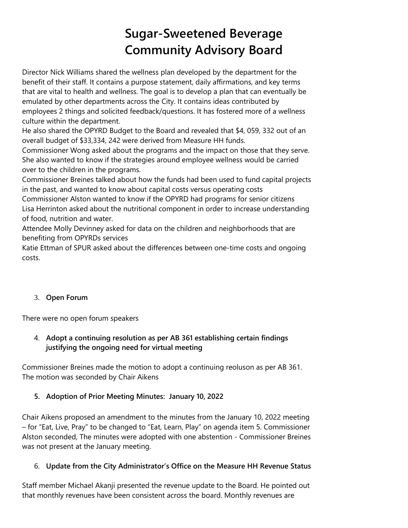Director Nick Williams shared the wellness plan developed by the department for the benefit of their staff. It contains a purpose statement, daily affirmations, and key terms that are vital to health and wellness. The goal is to develop a plan that can eventually be emulated by other departments across the City. It contains ideas contributed by employees 2 things and solicited feedback/questions. It has fostered more of a wellness culture within the department.

He also shared the OPYRD Budget to the Board and revealed that \$4, 059, 332 out of an overall budget of \$33,334, 242 were derived from Measure HH funds.

Commissioner Wong asked about the programs and the impact on those that they serve. She also wanted to know if the strategies around employee wellness would be carried over to the children in the programs.

Commissioner Breines talked about how the funds had been used to fund capital projects in the past, and wanted to know about capital costs versus operating costs

Commissioner Alston wanted to know if the OPYRD had programs for senior citizens Lisa Herrinton asked about the nutritional component in order to increase understanding of food, nutrition and water.

Attendee Molly Devinney asked for data on the children and neighborhoods that are benefiting from OPYRDs services

Katie Ettman of SPUR asked about the differences between one-time costs and ongoing costs.

### 3. **Open Forum**

There were no open forum speakers

### 4. **Adopt a continuing resolution as per AB 361 establishing certain findings justifying the ongoing need for virtual meeting**

Commissioner Breines made the motion to adopt a continuing reoluson as per AB 361. The motion was seconded by Chair Aikens

### **5. Adoption of Prior Meeting Minutes: January 10, 2022**

Chair Aikens proposed an amendment to the minutes from the January 10, 2022 meeting – for "Eat, Live, Pray" to be changed to "Eat, Learn, Play" on agenda item 5. Commissioner Alston seconded, The minutes were adopted with one abstention - Commissioner Breines was not present at the January meeting.

### 6. **Update from the City Administrator's Office on the Measure HH Revenue Status**

Staff member Michael Akanji presented the revenue update to the Board. He pointed out that monthly revenues have been consistent across the board. Monthly revenues are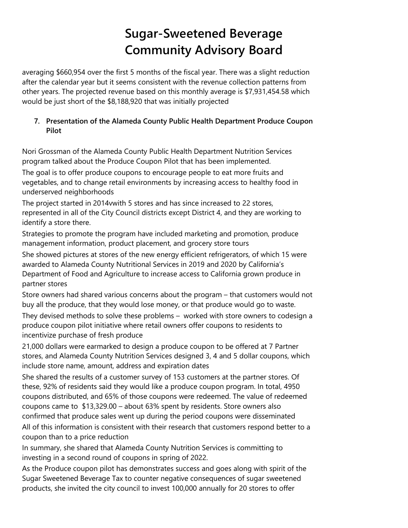averaging \$660,954 over the first 5 months of the fiscal year. There was a slight reduction after the calendar year but it seems consistent with the revenue collection patterns from other years. The projected revenue based on this monthly average is \$7,931,454.58 which would be just short of the \$8,188,920 that was initially projected

### **7. Presentation of the Alameda County Public Health Department Produce Coupon Pilot**

Nori Grossman of the Alameda County Public Health Department Nutrition Services program talked about the Produce Coupon Pilot that has been implemented.

The goal is to offer produce coupons to encourage people to eat more fruits and vegetables, and to change retail environments by increasing access to healthy food in underserved neighborhoods

The project started in 2014vwith 5 stores and has since increased to 22 stores, represented in all of the City Council districts except District 4, and they are working to identify a store there.

Strategies to promote the program have included marketing and promotion, produce management information, product placement, and grocery store tours

She showed pictures at stores of the new energy efficient refrigerators, of which 15 were awarded to Alameda County Nutritional Services in 2019 and 2020 by California's Department of Food and Agriculture to increase access to California grown produce in partner stores

Store owners had shared various concerns about the program – that customers would not buy all the produce, that they would lose money, or that produce would go to waste.

They devised methods to solve these problems – worked with store owners to codesign a produce coupon pilot initiative where retail owners offer coupons to residents to incentivize purchase of fresh produce

21,000 dollars were earmarked to design a produce coupon to be offered at 7 Partner stores, and Alameda County Nutrition Services designed 3, 4 and 5 dollar coupons, which include store name, amount, address and expiration dates

She shared the results of a customer survey of 153 customers at the partner stores. Of these, 92% of residents said they would like a produce coupon program. In total, 4950 coupons distributed, and 65% of those coupons were redeemed. The value of redeemed coupons came to \$13,329.00 – about 63% spent by residents. Store owners also confirmed that produce sales went up during the period coupons were disseminated All of this information is consistent with their research that customers respond better to a coupon than to a price reduction

In summary, she shared that Alameda County Nutrition Services is committing to investing in a second round of coupons in spring of 2022.

As the Produce coupon pilot has demonstrates success and goes along with spirit of the Sugar Sweetened Beverage Tax to counter negative consequences of sugar sweetened products, she invited the city council to invest 100,000 annually for 20 stores to offer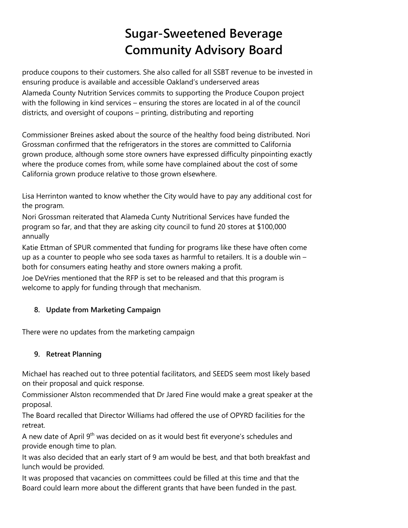produce coupons to their customers. She also called for all SSBT revenue to be invested in ensuring produce is available and accessible Oakland's underserved areas Alameda County Nutrition Services commits to supporting the Produce Coupon project with the following in kind services – ensuring the stores are located in al of the council districts, and oversight of coupons – printing, distributing and reporting

Commissioner Breines asked about the source of the healthy food being distributed. Nori Grossman confirmed that the refrigerators in the stores are committed to California grown produce, although some store owners have expressed difficulty pinpointing exactly where the produce comes from, while some have complained about the cost of some California grown produce relative to those grown elsewhere.

Lisa Herrinton wanted to know whether the City would have to pay any additional cost for the program.

Nori Grossman reiterated that Alameda Cunty Nutritional Services have funded the program so far, and that they are asking city council to fund 20 stores at \$100,000 annually

Katie Ettman of SPUR commented that funding for programs like these have often come up as a counter to people who see soda taxes as harmful to retailers. It is a double win – both for consumers eating heathy and store owners making a profit.

Joe DeVries mentioned that the RFP is set to be released and that this program is welcome to apply for funding through that mechanism.

### **8. Update from Marketing Campaign**

There were no updates from the marketing campaign

### **9. Retreat Planning**

Michael has reached out to three potential facilitators, and SEEDS seem most likely based on their proposal and quick response.

Commissioner Alston recommended that Dr Jared Fine would make a great speaker at the proposal.

The Board recalled that Director Williams had offered the use of OPYRD facilities for the retreat.

A new date of April 9<sup>th</sup> was decided on as it would best fit everyone's schedules and provide enough time to plan.

It was also decided that an early start of 9 am would be best, and that both breakfast and lunch would be provided.

It was proposed that vacancies on committees could be filled at this time and that the Board could learn more about the different grants that have been funded in the past.